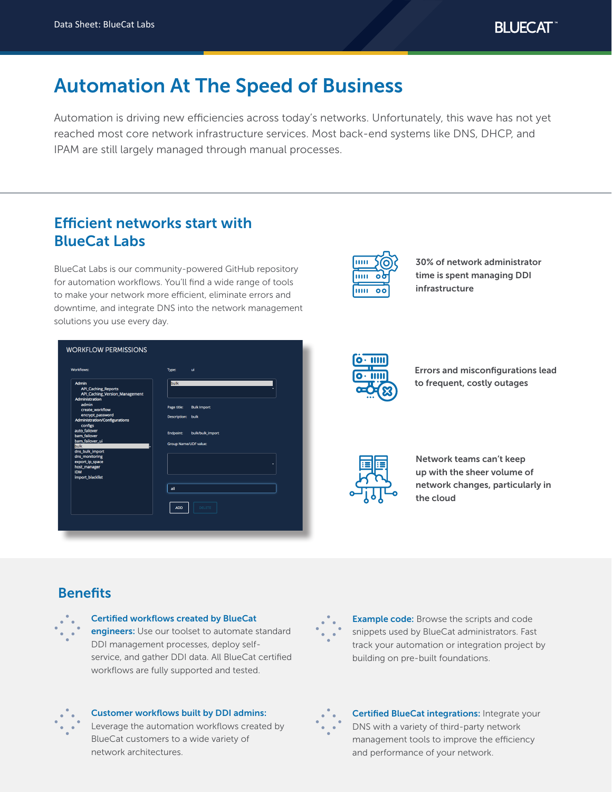# Automation At The Speed of Business

Automation is driving new efficiencies across today's networks. Unfortunately, this wave has not yet reached most core network infrastructure services. Most back-end systems like DNS, DHCP, and IPAM are still largely managed through manual processes.

# Efficient networks start with BlueCat Labs

BlueCat Labs is our community-powered GitHub repository for automation workflows. You'll find a wide range of tools to make your network more efficient, eliminate errors and downtime, and integrate DNS into the network management solutions you use every day.

| <b>Workflows:</b>                                        | Type:                 | ui                 |
|----------------------------------------------------------|-----------------------|--------------------|
| Admin<br><b>API_Caching_Reports</b>                      | <b>bulk</b>           |                    |
| API_Caching_Version_Management<br><b>Administration</b>  |                       |                    |
| admin<br>create workflow                                 | Page title:           | <b>Bulk Import</b> |
| encrypt_password<br><b>Administration/Configurations</b> | <b>Description:</b>   | bulk               |
| configs<br>auto failover<br>bam_failover                 | Endpoint:             | bulk/bulk_import   |
| bam_failover_ui<br><b>bulk</b>                           | Group Name/UDF value: |                    |
| dns_bulk_import                                          |                       |                    |
| dns_monitoring<br>export_ip_space                        |                       |                    |
| host_manager                                             |                       |                    |
| <b>IDM</b>                                               |                       |                    |
| import_blacklist                                         |                       |                    |
|                                                          | all                   |                    |
|                                                          |                       |                    |
|                                                          | <b>ADD</b>            | <b>DELETE</b>      |



30% of network administrator time is spent managing DDI infrastructure



Errors and misconfigurations lead to frequent, costly outages



Network teams can't keep up with the sheer volume of network changes, particularly in the cloud

## **Benefits**



#### Certified workflows created by BlueCat

engineers: Use our toolset to automate standard DDI management processes, deploy selfservice, and gather DDI data. All BlueCat certified workflows are fully supported and tested.



**Example code:** Browse the scripts and code snippets used by BlueCat administrators. Fast track your automation or integration project by building on pre-built foundations.



#### Customer workflows built by DDI admins:

Leverage the automation workflows created by BlueCat customers to a wide variety of network architectures.



Certified BlueCat integrations: Integrate your DNS with a variety of third-party network management tools to improve the efficiency and performance of your network.